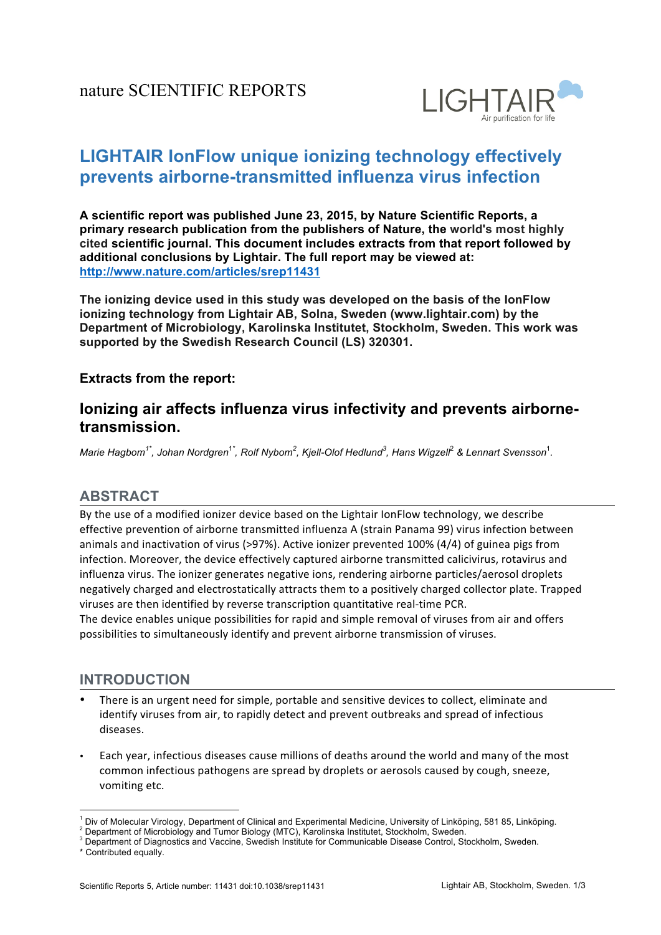

# **LIGHTAIR lonFlow unique ionizing technology effectively** prevents airborne-transmitted influenza virus infection

**A!scientific!report!was!published June!23, 2015, by!Nature!Scientific!Reports,!a! primary research publication from the publishers of Nature, the world's most highly** cited scientific iournal. This document includes extracts from that report followed by additional conclusions by Lightair. The full report may be viewed at: **http://www.nature.com/articles/srep11431**

The ionizing device used in this study was developed on the basis of the lonFlow ionizing technology from Lightair AB, Solna, Sweden (www.lightair.com) by the Department of Microbiology, Karolinska Institutet, Stockholm, Sweden. This work was supported by the Swedish Research Council (LS) 320301.

#### **Extracts from the report:**

## **Ionizing air affects influenza virus infectivity and prevents airbornetransmission.**

 $M$ arie Hagbom $^{1^*}$ , Johan Nordgren $^{1^*}$ , Rolf Nybom $^2$ , Kjell-Olof Hedlund $^3$ , Hans Wigzell $^2$  & Lennart Svensson $^1$ .

#### **ABSTRACT**

By the use of a modified ionizer device based on the Lightair IonFlow technology, we describe effective prevention of airborne transmitted influenza A (strain Panama 99) virus infection between animals and inactivation of virus (>97%). Active ionizer prevented  $100\%$  (4/4) of guinea pigs from infection. Moreover, the device effectively captured airborne transmitted calicivirus, rotavirus and influenza virus. The ionizer generates negative ions, rendering airborne particles/aerosol droplets negatively charged and electrostatically attracts them to a positively charged collector plate. Trapped viruses are then identified by reverse transcription quantitative real-time PCR.

The device enables unique possibilities for rapid and simple removal of viruses from air and offers possibilities to simultaneously identify and prevent airborne transmission of viruses.

#### **INTRODUCTION**

- There is an urgent need for simple, portable and sensitive devices to collect, eliminate and identify viruses from air, to rapidly detect and prevent outbreaks and spread of infectious diseases.
- Each year, infectious diseases cause millions of deaths around the world and many of the most common infectious pathogens are spread by droplets or aerosols caused by cough, sneeze, vomiting etc.

!!!!!!!!!!!!!!!!!!!!!!!!!!!!!!!!!!!!!!!!!!!!!!!!!!!!!!!!!!!!

<sup>&</sup>lt;sup>1</sup> Div of Molecular Virology, Department of Clinical and Experimental Medicine, University of Linköping, 581 85, Linköping.<br><sup>2</sup> Department of Microbiology and Tumor Biology (MTC), Karolinska Institutet, Stockholm, Sweden

 $3$  Department of Diagnostics and Vaccine, Swedish Institute for Communicable Disease Control, Stockholm, Sweden.

<sup>\*</sup> Contributed equally.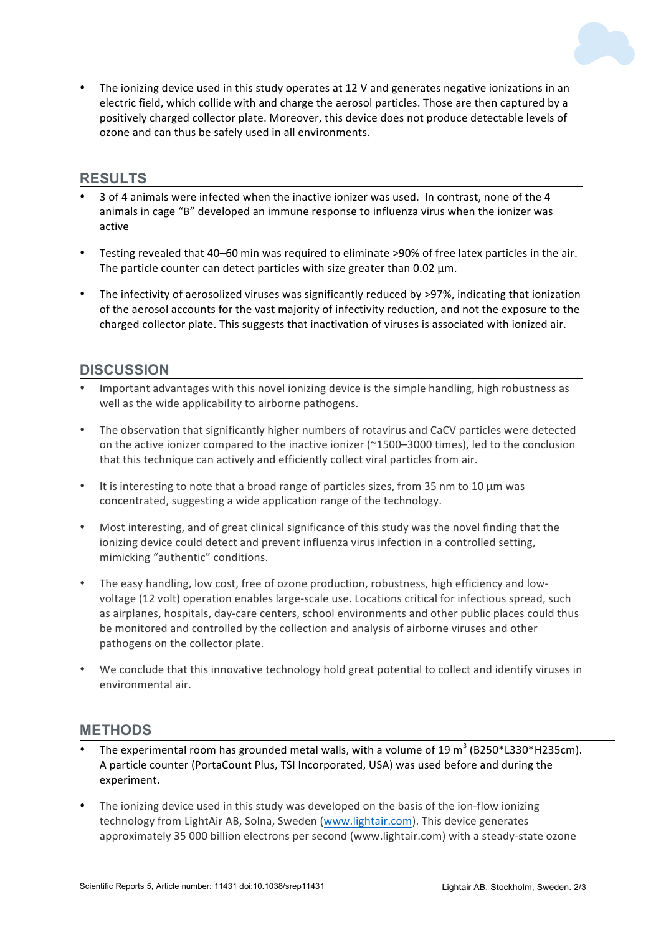

The ionizing device used in this study operates at 12 V and generates negative ionizations in an electric field, which collide with and charge the aerosol particles. Those are then captured by a positively charged collector plate. Moreover, this device does not produce detectable levels of ozone and can thus be safely used in all environments.

#### **RESULTS**

- 3 of 4 animals were infected when the inactive ionizer was used. In contrast, none of the 4 animals in cage "B" developed an immune response to influenza virus when the ionizer was active
- Testing revealed that 40–60 min was required to eliminate >90% of free latex particles in the air. The particle counter can detect particles with size greater than 0.02  $\mu$ m.
- The infectivity of aerosolized viruses was significantly reduced by >97%, indicating that ionization of the aerosol accounts for the vast majority of infectivity reduction, and not the exposure to the charged collector plate. This suggests that inactivation of viruses is associated with ionized air.

#### **DISCUSSION**

- Important advantages with this novel ionizing device is the simple handling, high robustness as well as the wide applicability to airborne pathogens.
- The observation that significantly higher numbers of rotavirus and CaCV particles were detected on the active ionizer compared to the inactive ionizer (~1500–3000 times), led to the conclusion that this technique can actively and efficiently collect viral particles from air.
- It is interesting to note that a broad range of particles sizes, from 35 nm to 10  $\mu$ m was concentrated, suggesting a wide application range of the technology.
- Most interesting, and of great clinical significance of this study was the novel finding that the ionizing device could detect and prevent influenza virus infection in a controlled setting, mimicking "authentic" conditions.
- The easy handling, low cost, free of ozone production, robustness, high efficiency and lowvoltage (12 volt) operation enables large-scale use. Locations critical for infectious spread, such as airplanes, hospitals, day-care centers, school environments and other public places could thus be monitored and controlled by the collection and analysis of airborne viruses and other pathogens on the collector plate.
- We conclude that this innovative technology hold great potential to collect and identify viruses in environmental air.

#### **METHODS**

- The experimental room has grounded metal walls, with a volume of 19  $m^3$  (B250\*L330\*H235cm). A particle counter (PortaCount Plus, TSI Incorporated, USA) was used before and during the experiment.
- The ionizing device used in this study was developed on the basis of the ion-flow ionizing technology from LightAir AB, Solna, Sweden (www.lightair.com). This device generates approximately 35 000 billion electrons per second (www.lightair.com) with a steady-state ozone